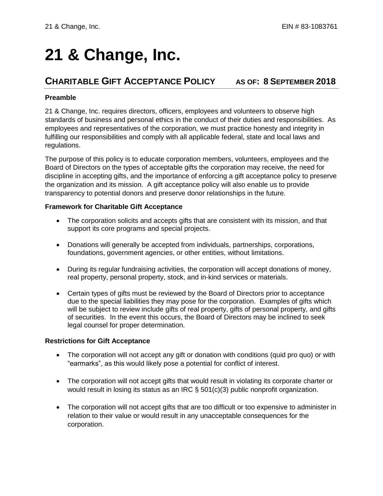# **21 & Change, Inc.**

## **CHARITABLE GIFT ACCEPTANCE POLICY AS OF: 8 SEPTEMBER 2018**

#### **Preamble**

21 & Change, Inc. requires directors, officers, employees and volunteers to observe high standards of business and personal ethics in the conduct of their duties and responsibilities. As employees and representatives of the corporation, we must practice honesty and integrity in fulfilling our responsibilities and comply with all applicable federal, state and local laws and regulations.

The purpose of this policy is to educate corporation members, volunteers, employees and the Board of Directors on the types of acceptable gifts the corporation may receive, the need for discipline in accepting gifts, and the importance of enforcing a gift acceptance policy to preserve the organization and its mission. A gift acceptance policy will also enable us to provide transparency to potential donors and preserve donor relationships in the future.

#### **Framework for Charitable Gift Acceptance**

- The corporation solicits and accepts gifts that are consistent with its mission, and that support its core programs and special projects.
- Donations will generally be accepted from individuals, partnerships, corporations, foundations, government agencies, or other entities, without limitations.
- During its regular fundraising activities, the corporation will accept donations of money, real property, personal property, stock, and in-kind services or materials.
- Certain types of gifts must be reviewed by the Board of Directors prior to acceptance due to the special liabilities they may pose for the corporation. Examples of gifts which will be subject to review include gifts of real property, gifts of personal property, and gifts of securities. In the event this occurs, the Board of Directors may be inclined to seek legal counsel for proper determination.

#### **Restrictions for Gift Acceptance**

- The corporation will not accept any gift or donation with conditions (quid pro quo) or with "earmarks", as this would likely pose a potential for conflict of interest.
- The corporation will not accept gifts that would result in violating its corporate charter or would result in losing its status as an IRC § 501(c)(3) public nonprofit organization.
- The corporation will not accept gifts that are too difficult or too expensive to administer in relation to their value or would result in any unacceptable consequences for the corporation.